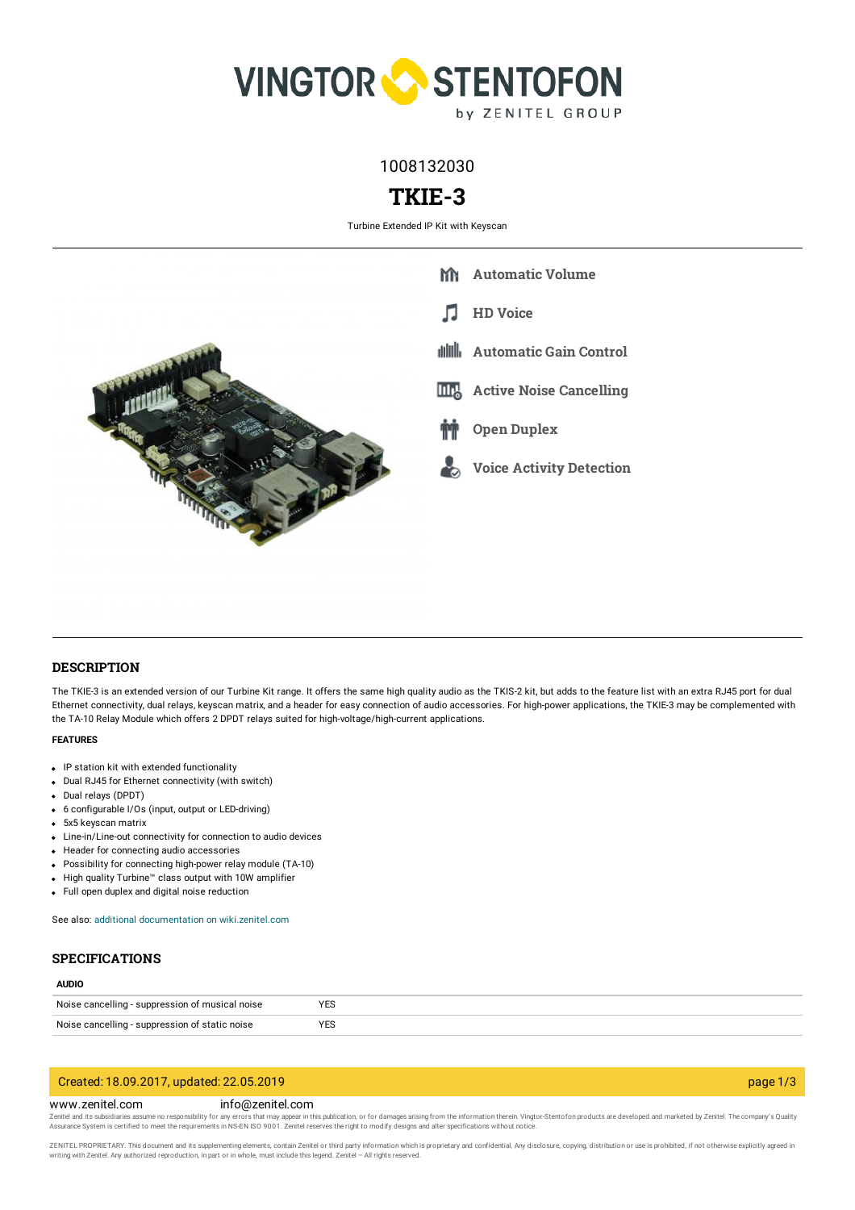

1008132030

# **TKIE-3**

Turbine Extended IP Kit with Keyscan



## **DESCRIPTION**

The TKIE-3 is an extended version of our Turbine Kit range. It offers the same high quality audio as the TKIS-2 kit, but adds to the feature list with an extra RJ45 port for dual Ethernet connectivity, dual relays, keyscan matrix, and a header for easy connection of audio accessories. For high-power applications, the TKIE-3 may be complemented with the TA-10 Relay Module which offers 2 DPDT relays suited for high-voltage/high-current applications.

### **FEATURES**

- IP station kit with extended functionality
- Dual RJ45 for Ethernet connectivity (with switch)
- Dual relays (DPDT)
- 6 configurable I/Os (input, output or LED-driving)
- 5x5 keyscan matrix
- Line-in/Line-out connectivity for connection to audio devices
- Header for connecting audio accessories
- Possibility for connecting high-power relay module (TA-10)
- High quality Turbine™ class output with 10W amplifier
- Full open duplex and digital noise reduction

See also: additional documentation on [wiki.zenitel.com](https://wiki.zenitel.com/wiki/TKIE-3)

## **SPECIFICATIONS**

## **AUDIO**

| Noise cancelling - suppression of<br>t musical noise | 10 <sup>2</sup><br>۲c۵<br>$\cdot$ $\sim$ |
|------------------------------------------------------|------------------------------------------|
| <b>Noice</b>                                         | 10 <sup>2</sup>                          |
| e cancelling - suppression of static noise           | 1 E.C                                    |
| .                                                    |                                          |

## Created: 18.09.2017, updated: 22.05.2019 page 1/3

#### www.zenitel.com info@zenitel.com

Zenitel and its subsidiaries assume no responsibility for any errors that may appear in this publication, or for damages arising from the information therein. Vingtor-Stentofon products are developed and marketed by Zenite

ZENITEL PROPRIETARY. This document and its supplementing elements, contain Zenitel or third party information which is proprietary and confidential. Any disclosure, copying, distribution or use is prohibited, if not otherw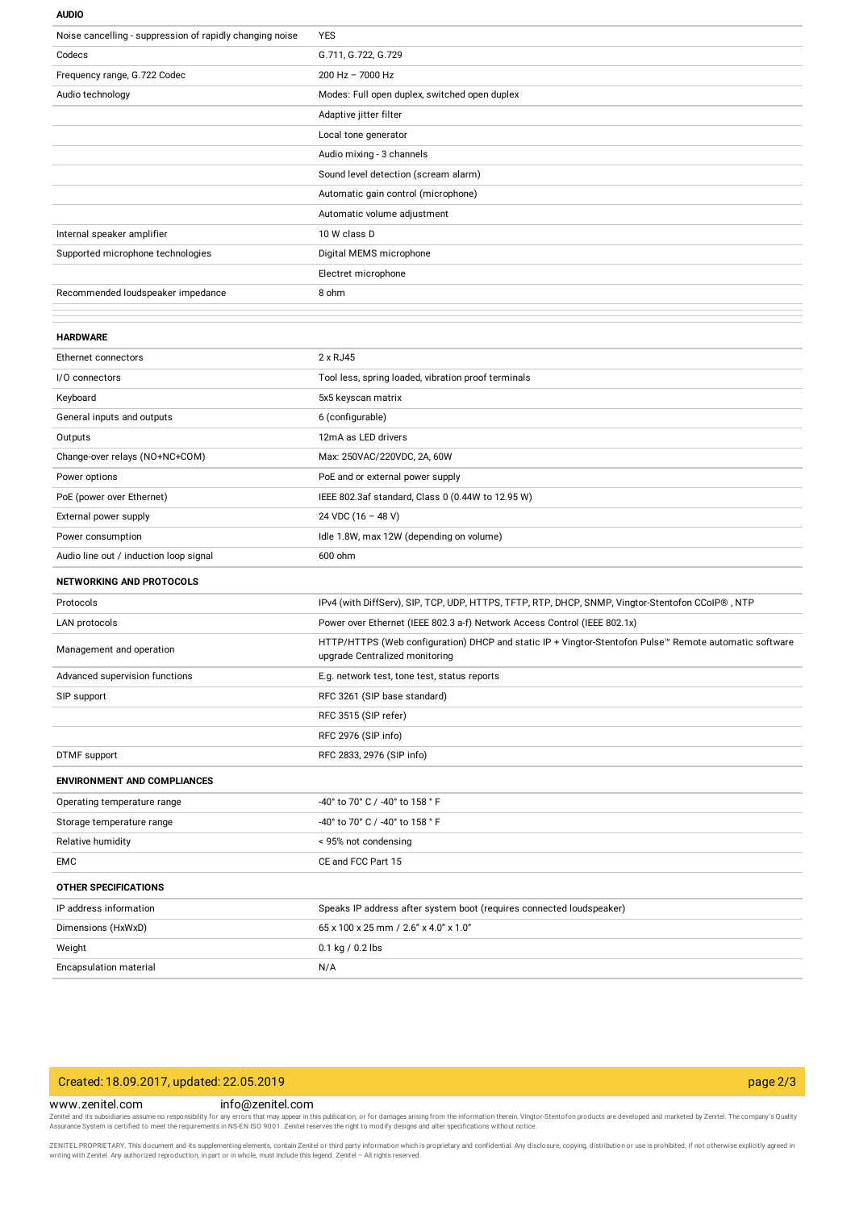#### **AUDIO**

| Noise cancelling - suppression of rapidly changing noise | YES                                                                                                                                      |
|----------------------------------------------------------|------------------------------------------------------------------------------------------------------------------------------------------|
| Codecs                                                   | G.711, G.722, G.729                                                                                                                      |
| Frequency range, G.722 Codec                             | 200 Hz - 7000 Hz                                                                                                                         |
| Audio technology                                         | Modes: Full open duplex, switched open duplex                                                                                            |
|                                                          | Adaptive jitter filter                                                                                                                   |
|                                                          | Local tone generator                                                                                                                     |
|                                                          | Audio mixing - 3 channels                                                                                                                |
|                                                          | Sound level detection (scream alarm)                                                                                                     |
|                                                          | Automatic gain control (microphone)                                                                                                      |
|                                                          | Automatic volume adjustment                                                                                                              |
| Internal speaker amplifier                               | 10 W class D                                                                                                                             |
| Supported microphone technologies                        | Digital MEMS microphone                                                                                                                  |
|                                                          | Electret microphone                                                                                                                      |
| Recommended loudspeaker impedance                        | 8 ohm                                                                                                                                    |
|                                                          |                                                                                                                                          |
| <b>HARDWARE</b>                                          |                                                                                                                                          |
| Ethernet connectors                                      | 2 x RJ45                                                                                                                                 |
| I/O connectors                                           | Tool less, spring loaded, vibration proof terminals                                                                                      |
| Keyboard                                                 | 5x5 keyscan matrix                                                                                                                       |
| General inputs and outputs                               | 6 (configurable)                                                                                                                         |
| Outputs                                                  | 12mA as LED drivers                                                                                                                      |
| Change-over relays (NO+NC+COM)                           | Max: 250VAC/220VDC, 2A, 60W                                                                                                              |
| Power options                                            | PoE and or external power supply                                                                                                         |
| PoE (power over Ethernet)                                | IEEE 802.3af standard, Class 0 (0.44W to 12.95 W)                                                                                        |
| External power supply                                    | 24 VDC (16 - 48 V)                                                                                                                       |
| Power consumption                                        | Idle 1.8W, max 12W (depending on volume)                                                                                                 |
| Audio line out / induction loop signal                   | 600 ohm                                                                                                                                  |
| <b>NETWORKING AND PROTOCOLS</b>                          |                                                                                                                                          |
| Protocols                                                | IPv4 (with DiffServ), SIP, TCP, UDP, HTTPS, TFTP, RTP, DHCP, SNMP, Vingtor-Stentofon CCoIP® , NTP                                        |
| LAN protocols                                            | Power over Ethernet (IEEE 802.3 a-f) Network Access Control (IEEE 802.1x)                                                                |
| Management and operation                                 | HTTP/HTTPS (Web configuration) DHCP and static IP + Vingtor-Stentofon Pulse™ Remote automatic software<br>upgrade Centralized monitoring |
| Advanced supervision functions                           | E.g. network test, tone test, status reports                                                                                             |
| SIP support                                              | RFC 3261 (SIP base standard)                                                                                                             |
|                                                          | RFC 3515 (SIP refer)                                                                                                                     |
|                                                          | RFC 2976 (SIP info)                                                                                                                      |
| DTMF support                                             | RFC 2833, 2976 (SIP info)                                                                                                                |
| <b>ENVIRONMENT AND COMPLIANCES</b>                       |                                                                                                                                          |
| Operating temperature range                              | -40° to 70° C / -40° to 158 ° F                                                                                                          |
| Storage temperature range                                | -40° to 70° C / -40° to 158 ° F                                                                                                          |
| Relative humidity                                        | < 95% not condensing                                                                                                                     |
| EMC                                                      | CE and FCC Part 15                                                                                                                       |
| <b>OTHER SPECIFICATIONS</b>                              |                                                                                                                                          |
| IP address information                                   | Speaks IP address after system boot (requires connected loudspeaker)                                                                     |
| Dimensions (HxWxD)                                       | 65 x 100 x 25 mm / 2.6" x 4.0" x 1.0"                                                                                                    |
| Weight                                                   | 0.1 kg / 0.2 lbs                                                                                                                         |
| Encapsulation material                                   | N/A                                                                                                                                      |

## Created: 18.09.2017, updated: 22.05.2019 page 2/3

## www.zenitel.com info@zenitel.com

Zenitel and its subsidiaries assume no responsibility for any errors that may appear in this publication, or for damages arising from the information therein. Vingtor-Stentofon products are developed and marketed by Zenite

ZENITEL PROPRIETARY. This document and its supplementing elements, contain Zenitel or third party information which is proprietary and confidential. Any disclosure, copying, distribution or use is prohibited, if not otherw